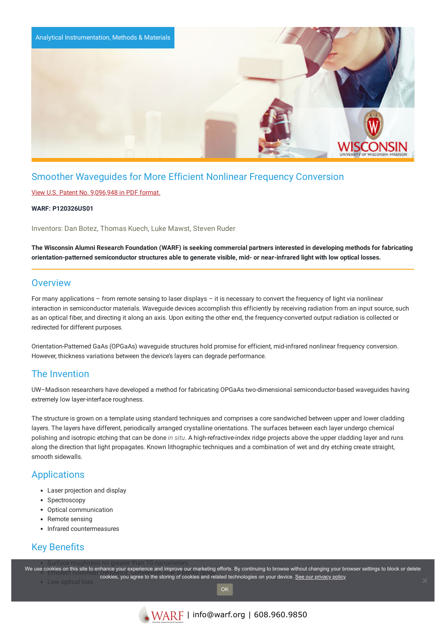

# Smoother Waveguides for More Efficient Nonlinear Frequency Conversion

### View U.S. Patent No. [9,096,948](https://www.warf.org/wp-content/uploads/technologies/ipstatus/P120326US01.PDF) in PDF format.

#### **WARF: P120326US01**

Inventors: Dan Botez, Thomas Kuech, Luke Mawst, Steven Ruder

The Wisconsin Alumni Research Foundation (WARF) is seeking commercial partners interested in developing methods for fabricating orientation-patterned semiconductor structures able to generate visible, mid- or near-infrared light with low optical losses.

### **Overview**

For many applications – from remote sensing to laser displays – it is necessary to convert the frequency of light via nonlinear interaction in semiconductor materials. Waveguide devices accomplish this efficiently by receiving radiation from an input source, such as an optical fiber, and directing it along an axis. Upon exiting the other end, the frequency-converted output radiation is collected or redirected for different purposes.

Orientation-Patterned GaAs (OPGaAs) waveguide structures hold promise for efficient, mid-infrared nonlinear frequency conversion. However, thickness variations between the device's layers can degrade performance.

### The Invention

UW–Madison researchers have developed a method for fabricating OPGaAs two-dimensional semiconductor-based waveguides having extremely low layer-interface roughness.

The structure is grown on a template using standard techniques and comprises a core sandwiched between upper and lower cladding layers. The layers have different, periodically arranged crystalline orientations. The surfaces between each layer undergo chemical polishing and isotropic etching that can be done *in situ*. A high-refractive-index ridge projects above the upper cladding layer and runs along the direction that light propagates. Known lithographic techniques and a combination of wet and dry etching create straight, smooth sidewalls.

### Applications

- Laser projection and display
- Spectroscopy
- Optical communication
- Remote sensing
- Infrared countermeasures

# Key Benefits

we use cookies on this site to enhance your experience and improve our marketing efforts. By continuing to browse without changing your browser settings to block or delete Final of the stories of this site to emiality court experience and improve our marketing enore. By continuing to browse without changing your broad range to the storing of cookies and related technologies on your device. <u></u>

• Low optical loss